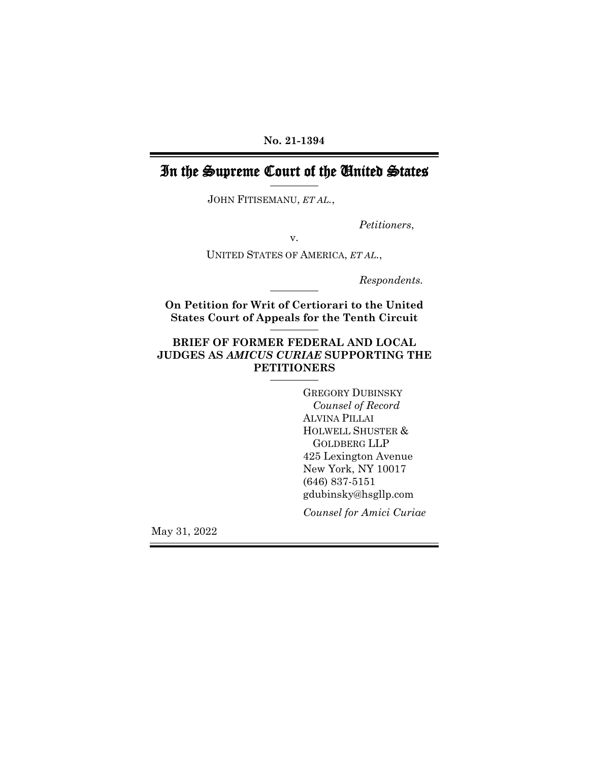**No. 21-1394**

# In the Supreme Court of the United States

JOHN FITISEMANU, *ET AL.*,

*Petitioners*,

v.

UNITED STATES OF AMERICA, *ET AL.*,

*Respondents.* 

**On Petition for Writ of Certiorari to the United States Court of Appeals for the Tenth Circuit**

## **BRIEF OF FORMER FEDERAL AND LOCAL JUDGES AS** *AMICUS CURIAE* **SUPPORTING THE PETITIONERS**

GREGORY DUBINSKY *Counsel of Record* ALVINA PILLAI HOLWELL SHUSTER & GOLDBERG LLP 425 Lexington Avenue New York, NY 10017 (646) 837-5151 gdubinsky@hsgllp.com *Counsel for Amici Curiae*

May 31, 2022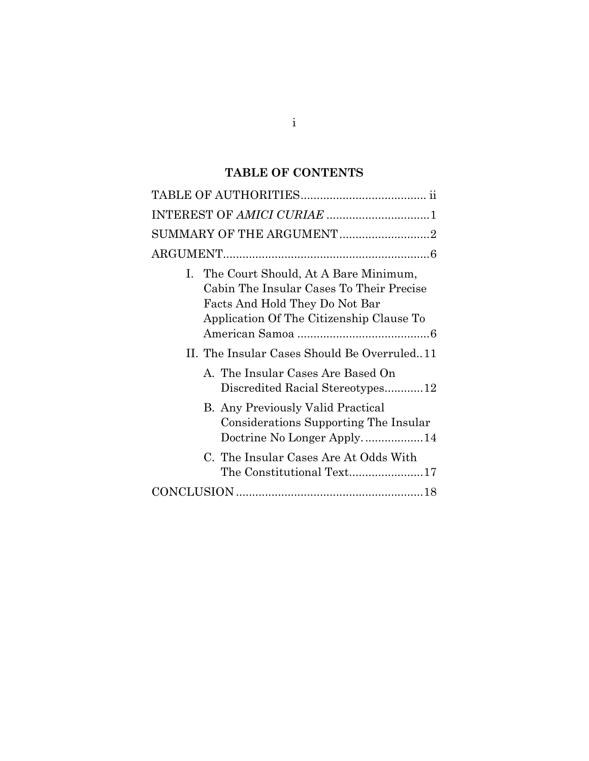## **TABLE OF CONTENTS**

| INTEREST OF AMICI CURIAE 1                                                                                                                                        |  |  |
|-------------------------------------------------------------------------------------------------------------------------------------------------------------------|--|--|
| SUMMARY OF THE ARGUMENT2                                                                                                                                          |  |  |
|                                                                                                                                                                   |  |  |
| I. The Court Should, At A Bare Minimum,<br>Cabin The Insular Cases To Their Precise<br>Facts And Hold They Do Not Bar<br>Application Of The Citizenship Clause To |  |  |
| II. The Insular Cases Should Be Overruled11                                                                                                                       |  |  |
| A. The Insular Cases Are Based On<br>Discredited Racial Stereotypes12                                                                                             |  |  |
| <b>B.</b> Any Previously Valid Practical<br>Considerations Supporting The Insular<br>Doctrine No Longer Apply14                                                   |  |  |
| C. The Insular Cases Are At Odds With<br>The Constitutional Text17                                                                                                |  |  |
|                                                                                                                                                                   |  |  |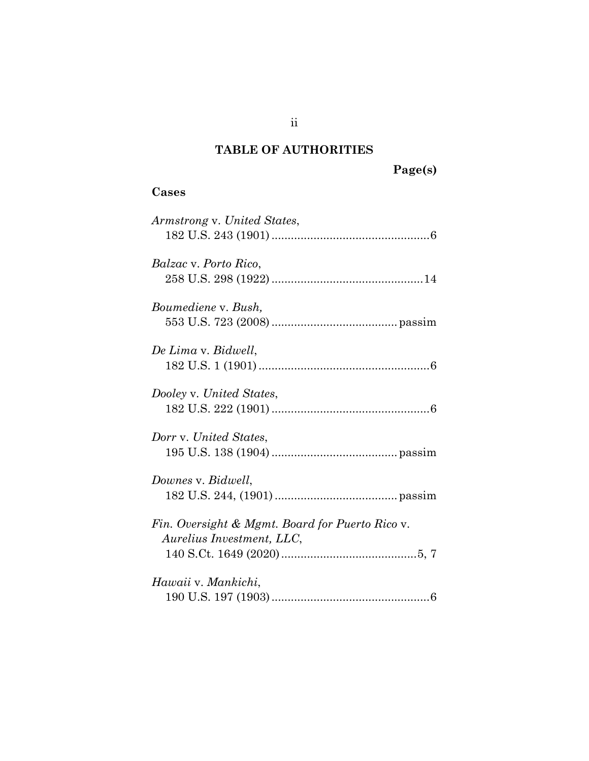# **TABLE OF AUTHORITIES**

**Page(s)**

## <span id="page-2-0"></span>**Cases**

| Armstrong v. United States,                                                  |
|------------------------------------------------------------------------------|
| Balzac v. Porto Rico,                                                        |
| Boumediene v. Bush,                                                          |
| De Lima v. Bidwell,                                                          |
| Dooley v. United States,                                                     |
| Dorr v. United States,                                                       |
| Downes v. Bidwell,                                                           |
| Fin. Oversight & Mgmt. Board for Puerto Rico v.<br>Aurelius Investment, LLC, |
| Hawaii v. Mankichi,                                                          |

ii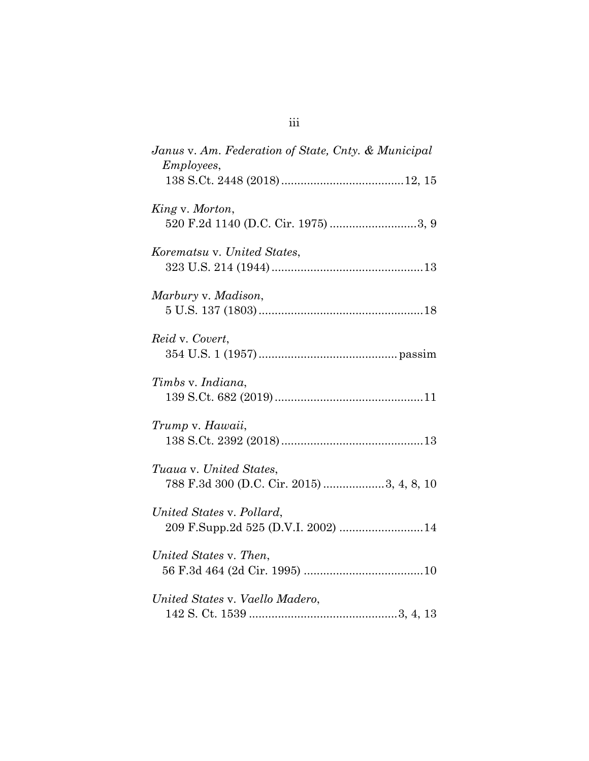| Janus v. Am. Federation of State, Cnty. & Municipal<br><i>Employees,</i> |  |
|--------------------------------------------------------------------------|--|
|                                                                          |  |
| King v. Morton,<br>520 F.2d 1140 (D.C. Cir. 1975) 3, 9                   |  |
| Korematsu v. United States,                                              |  |
| Marbury v. Madison,                                                      |  |
| Reid v. Covert,                                                          |  |
| Timbs v. Indiana,                                                        |  |
| Trump v. Hawaii,                                                         |  |
| Tuaua v. United States,<br>788 F.3d 300 (D.C. Cir. 2015) 3, 4, 8, 10     |  |
| United States v. Pollard,<br>209 F.Supp.2d 525 (D.V.I. 2002)  14         |  |
| United States v. Then,                                                   |  |
| United States v. Vaello Madero,                                          |  |

iii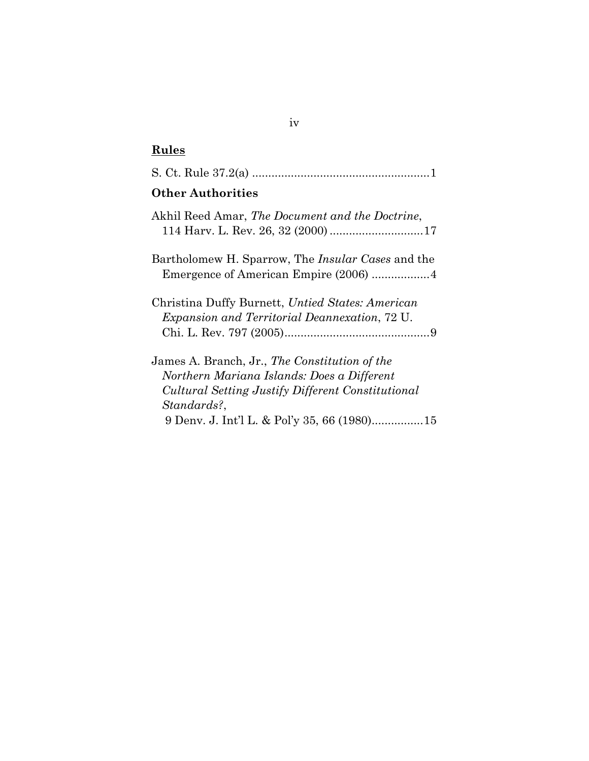# **Rules**

| <b>Other Authorities</b>                                                                                                                                               |
|------------------------------------------------------------------------------------------------------------------------------------------------------------------------|
| Akhil Reed Amar, <i>The Document and the Doctrine</i> ,                                                                                                                |
| Bartholomew H. Sparrow, The <i>Insular Cases</i> and the                                                                                                               |
| Christina Duffy Burnett, Untied States: American<br><i>Expansion and Territorial Deannexation, 72 U.</i>                                                               |
| James A. Branch, Jr., <i>The Constitution of the</i><br>Northern Mariana Islands: Does a Different<br>Cultural Setting Justify Different Constitutional<br>Standards?, |
| 9 Denv. J. Int'l L. & Pol'y 35, 66 (1980)15                                                                                                                            |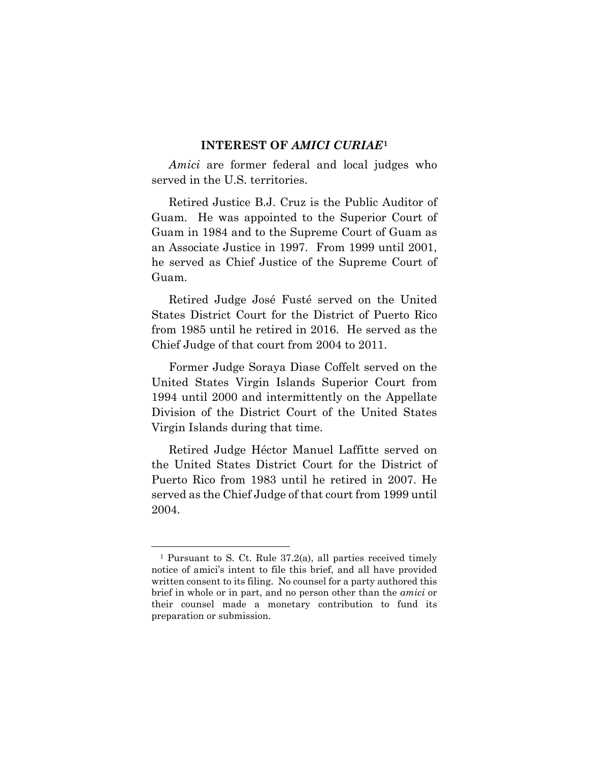#### **INTEREST OF** *AMICI CURIAE***[1](#page-5-1)**

<span id="page-5-0"></span>*Amici* are former federal and local judges who served in the U.S. territories.

Retired Justice B.J. Cruz is the Public Auditor of Guam. He was appointed to the Superior Court of Guam in 1984 and to the Supreme Court of Guam as an Associate Justice in 1997. From 1999 until 2001, he served as Chief Justice of the Supreme Court of Guam.

Retired Judge José Fusté served on the United States District Court for the District of Puerto Rico from 1985 until he retired in 2016. He served as the Chief Judge of that court from 2004 to 2011.

Former Judge Soraya Diase Coffelt served on the United States Virgin Islands Superior Court from 1994 until 2000 and intermittently on the Appellate Division of the District Court of the United States Virgin Islands during that time.

Retired Judge Héctor Manuel Laffitte served on the United States District Court for the District of Puerto Rico from 1983 until he retired in 2007. He served as the Chief Judge of that court from 1999 until 2004.

<span id="page-5-1"></span><sup>1</sup> Pursuant to S. Ct. Rule 37.2(a), all parties received timely notice of amici's intent to file this brief, and all have provided written consent to its filing. No counsel for a party authored this brief in whole or in part, and no person other than the *amici* or their counsel made a monetary contribution to fund its preparation or submission.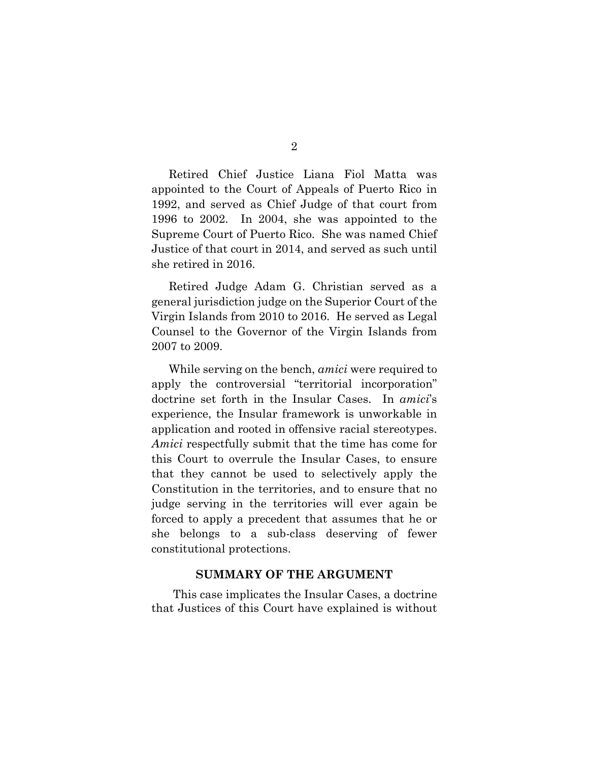Retired Chief Justice Liana Fiol Matta was appointed to the Court of Appeals of Puerto Rico in 1992, and served as Chief Judge of that court from 1996 to 2002. In 2004, she was appointed to the Supreme Court of Puerto Rico. She was named Chief Justice of that court in 2014, and served as such until she retired in 2016.

Retired Judge Adam G. Christian served as a general jurisdiction judge on the Superior Court of the Virgin Islands from 2010 to 2016. He served as Legal Counsel to the Governor of the Virgin Islands from 2007 to 2009.

While serving on the bench, *amici* were required to apply the controversial "territorial incorporation" doctrine set forth in the Insular Cases. In *amici*'s experience, the Insular framework is unworkable in application and rooted in offensive racial stereotypes. *Amici* respectfully submit that the time has come for this Court to overrule the Insular Cases, to ensure that they cannot be used to selectively apply the Constitution in the territories, and to ensure that no judge serving in the territories will ever again be forced to apply a precedent that assumes that he or she belongs to a sub-class deserving of fewer constitutional protections.

#### **SUMMARY OF THE ARGUMENT**

<span id="page-6-0"></span>This case implicates the Insular Cases, a doctrine that Justices of this Court have explained is without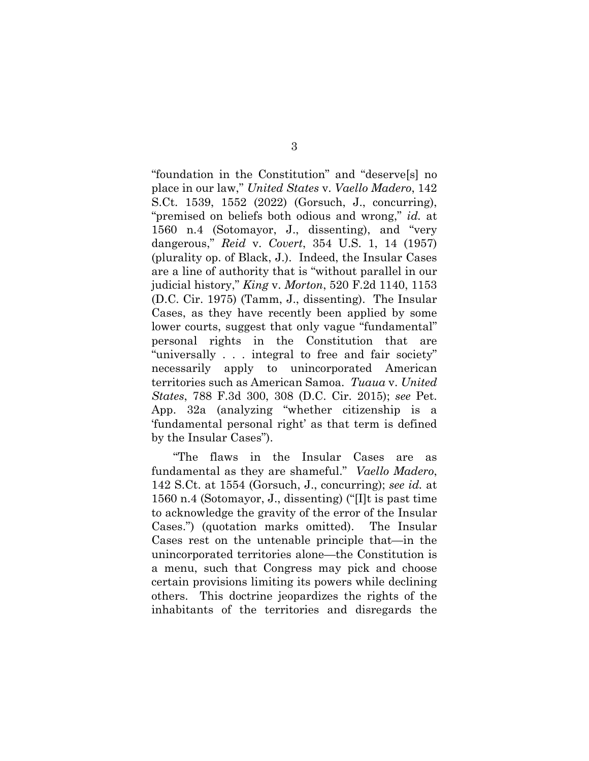"foundation in the Constitution" and "deserve[s] no place in our law," *United States* v. *Vaello Madero*, 142 S.Ct. 1539, 1552 (2022) (Gorsuch, J., concurring), "premised on beliefs both odious and wrong," *id.* at 1560 n.4 (Sotomayor, J., dissenting), and "very dangerous," *Reid* v. *Covert*, 354 U.S. 1, 14 (1957) (plurality op. of Black, J.). Indeed, the Insular Cases are a line of authority that is "without parallel in our judicial history," *King* v. *Morton*, 520 F.2d 1140, 1153 (D.C. Cir. 1975) (Tamm, J., dissenting). The Insular Cases, as they have recently been applied by some lower courts, suggest that only vague "fundamental" personal rights in the Constitution that are "universally . . . integral to free and fair society" necessarily apply to unincorporated American territories such as American Samoa. *Tuaua* v. *United States*, 788 F.3d 300, 308 (D.C. Cir. 2015); *see* Pet. App. 32a (analyzing "whether citizenship is a 'fundamental personal right' as that term is defined by the Insular Cases").

"The flaws in the Insular Cases are as fundamental as they are shameful." *Vaello Madero*, 142 S.Ct. at 1554 (Gorsuch, J., concurring); *see id.* at 1560 n.4 (Sotomayor, J., dissenting) ("[I]t is past time to acknowledge the gravity of the error of the Insular Cases.") (quotation marks omitted). The Insular Cases rest on the untenable principle that—in the unincorporated territories alone—the Constitution is a menu, such that Congress may pick and choose certain provisions limiting its powers while declining others. This doctrine jeopardizes the rights of the inhabitants of the territories and disregards the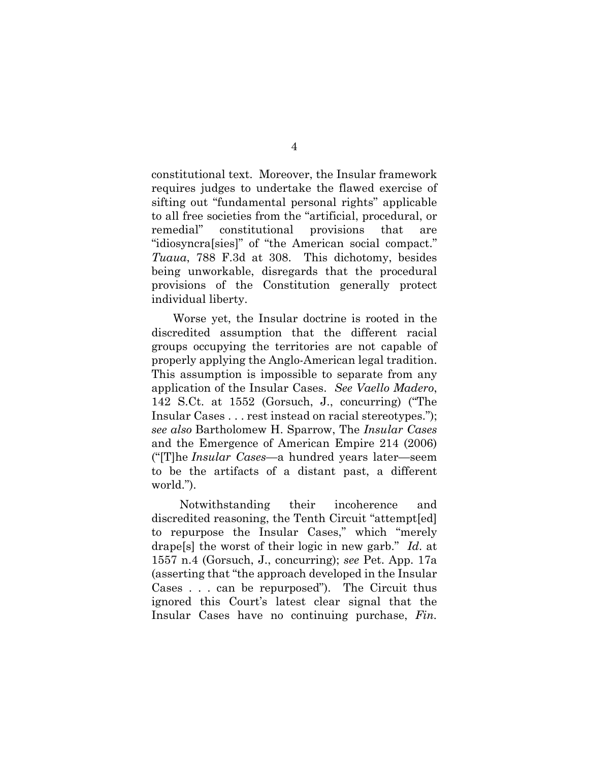constitutional text. Moreover, the Insular framework requires judges to undertake the flawed exercise of sifting out "fundamental personal rights" applicable to all free societies from the "artificial, procedural, or remedial" constitutional provisions that are "idiosyncra[sies]" of "the American social compact." *Tuaua*, 788 F.3d at 308. This dichotomy, besides being unworkable, disregards that the procedural provisions of the Constitution generally protect individual liberty.

Worse yet, the Insular doctrine is rooted in the discredited assumption that the different racial groups occupying the territories are not capable of properly applying the Anglo-American legal tradition. This assumption is impossible to separate from any application of the Insular Cases. *See Vaello Madero*, 142 S.Ct. at 1552 (Gorsuch, J., concurring) ("The Insular Cases . . . rest instead on racial stereotypes."); *see also* Bartholomew H. Sparrow, The *Insular Cases* and the Emergence of American Empire 214 (2006) ("[T]he *Insular Cases—*a hundred years later—seem to be the artifacts of a distant past, a different world.").

Notwithstanding their incoherence and discredited reasoning, the Tenth Circuit "attempt[ed] to repurpose the Insular Cases," which "merely drape[s] the worst of their logic in new garb." *Id*. at 1557 n.4 (Gorsuch, J., concurring); *see* Pet. App. 17a (asserting that "the approach developed in the Insular Cases . . . can be repurposed"). The Circuit thus ignored this Court's latest clear signal that the Insular Cases have no continuing purchase, *Fin.*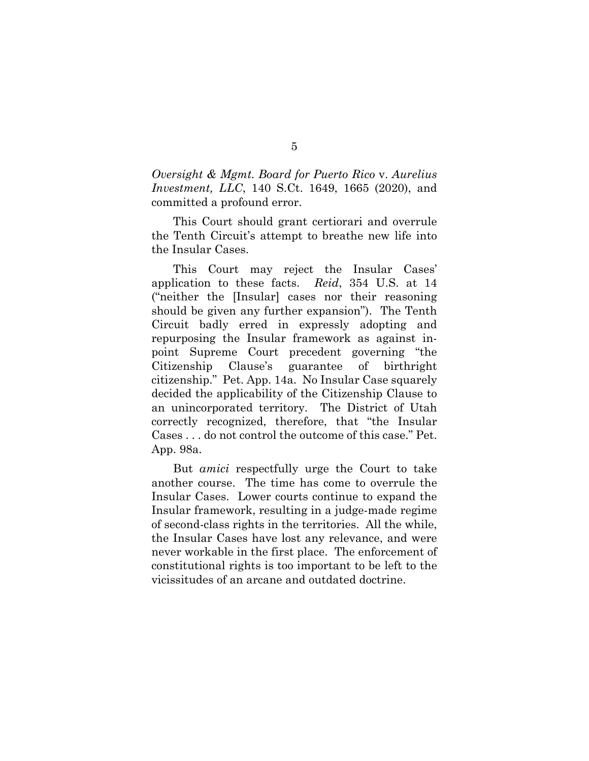*Oversight & Mgmt. Board for Puerto Rico* v. *Aurelius Investment, LLC*, 140 S.Ct. 1649, 1665 (2020), and committed a profound error.

This Court should grant certiorari and overrule the Tenth Circuit's attempt to breathe new life into the Insular Cases.

This Court may reject the Insular Cases' application to these facts. *Reid*, 354 U.S. at 14 ("neither the [Insular] cases nor their reasoning should be given any further expansion"). The Tenth Circuit badly erred in expressly adopting and repurposing the Insular framework as against inpoint Supreme Court precedent governing "the Citizenship Clause's guarantee of birthright citizenship." Pet. App. 14a. No Insular Case squarely decided the applicability of the Citizenship Clause to an unincorporated territory. The District of Utah correctly recognized, therefore, that "the Insular Cases . . . do not control the outcome of this case." Pet. App. 98a.

But *amici* respectfully urge the Court to take another course. The time has come to overrule the Insular Cases. Lower courts continue to expand the Insular framework, resulting in a judge-made regime of second-class rights in the territories. All the while, the Insular Cases have lost any relevance, and were never workable in the first place. The enforcement of constitutional rights is too important to be left to the vicissitudes of an arcane and outdated doctrine.

5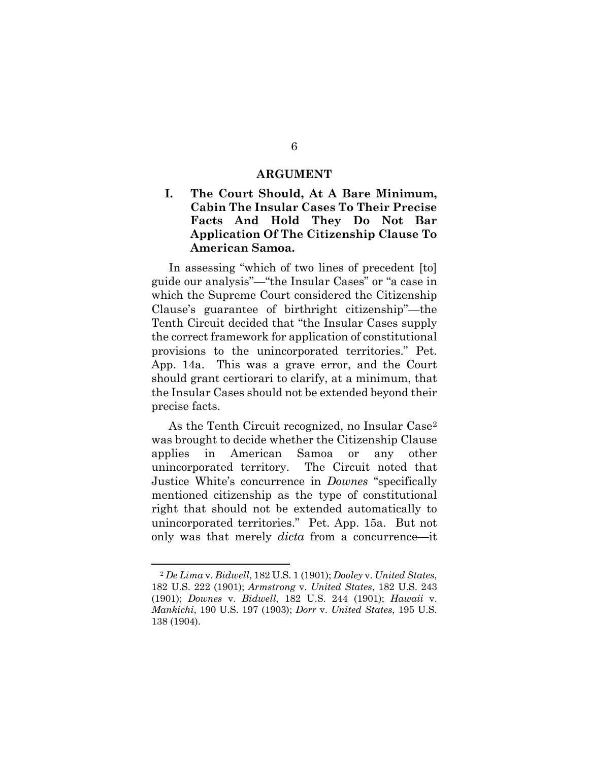#### **ARGUMENT**

## <span id="page-10-1"></span><span id="page-10-0"></span>**I. The Court Should, At A Bare Minimum, Cabin The Insular Cases To Their Precise Facts And Hold They Do Not Bar Application Of The Citizenship Clause To American Samoa.**

In assessing "which of two lines of precedent [to] guide our analysis"—"the Insular Cases" or "a case in which the Supreme Court considered the Citizenship Clause's guarantee of birthright citizenship"—the Tenth Circuit decided that "the Insular Cases supply the correct framework for application of constitutional provisions to the unincorporated territories." Pet. App. 14a. This was a grave error, and the Court should grant certiorari to clarify, at a minimum, that the Insular Cases should not be extended beyond their precise facts.

As the Tenth Circuit recognized, no Insular Case<sup>[2](#page-10-2)</sup> was brought to decide whether the Citizenship Clause applies in American Samoa or any other unincorporated territory. The Circuit noted that Justice White's concurrence in *Downes* "specifically mentioned citizenship as the type of constitutional right that should not be extended automatically to unincorporated territories." Pet. App. 15a. But not only was that merely *dicta* from a concurrence—it

<span id="page-10-2"></span><sup>2</sup> *De Lima* v. *Bidwell*, 182 U.S. 1 (1901); *Dooley* v. *United States*, 182 U.S. 222 (1901); *Armstrong* v. *United States*, 182 U.S. 243 (1901); *Downes* v. *Bidwell*, 182 U.S. 244 (1901); *Hawaii* v. *Mankichi*, 190 U.S. 197 (1903); *Dorr* v. *United States*, 195 U.S. 138 (1904).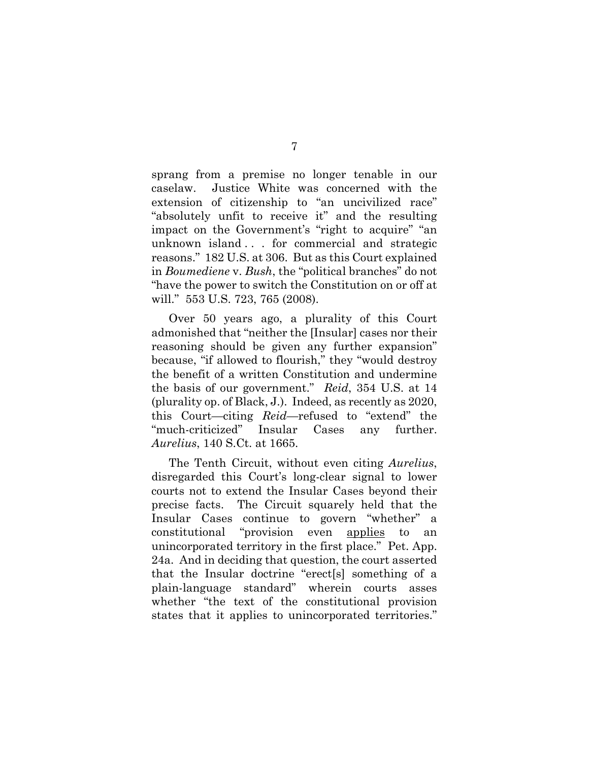sprang from a premise no longer tenable in our caselaw. Justice White was concerned with the extension of citizenship to "an uncivilized race" "absolutely unfit to receive it" and the resulting impact on the Government's "right to acquire" "an unknown island . . . for commercial and strategic reasons." 182 U.S. at 306. But as this Court explained in *Boumediene* v. *Bush*, the "political branches" do not "have the power to switch the Constitution on or off at will." 553 U.S. 723, 765 (2008).

Over 50 years ago, a plurality of this Court admonished that "neither the [Insular] cases nor their reasoning should be given any further expansion" because, "if allowed to flourish," they "would destroy the benefit of a written Constitution and undermine the basis of our government." *Reid*, 354 U.S. at 14 (plurality op. of Black, J.). Indeed, as recently as 2020, this Court—citing *Reid*—refused to "extend" the "much-criticized" Insular Cases any further. *Aurelius*, 140 S.Ct. at 1665.

The Tenth Circuit, without even citing *Aurelius*, disregarded this Court's long-clear signal to lower courts not to extend the Insular Cases beyond their precise facts. The Circuit squarely held that the Insular Cases continue to govern "whether" a constitutional "provision even applies to an unincorporated territory in the first place." Pet. App. 24a. And in deciding that question, the court asserted that the Insular doctrine "erect[s] something of a plain-language standard" wherein courts asses whether "the text of the constitutional provision states that it applies to unincorporated territories."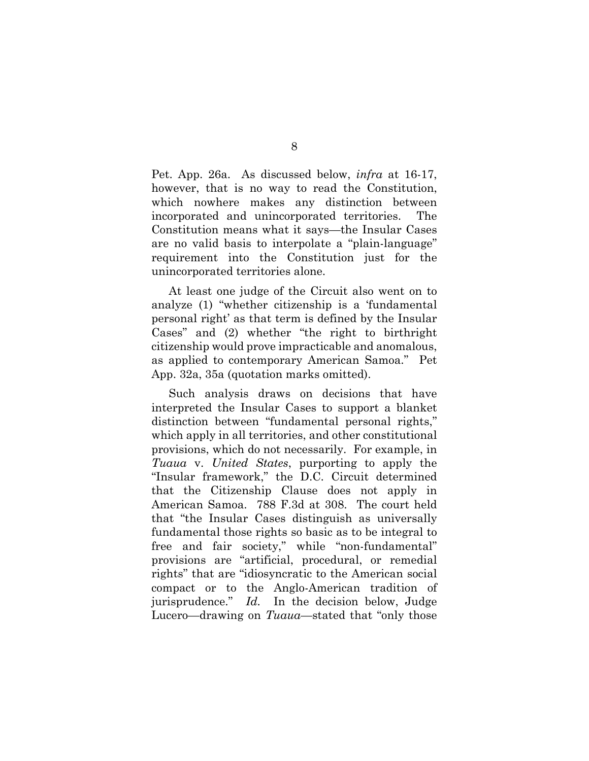Pet. App. 26a. As discussed below, *infra* at 16-17, however, that is no way to read the Constitution, which nowhere makes any distinction between incorporated and unincorporated territories. The Constitution means what it says—the Insular Cases are no valid basis to interpolate a "plain-language" requirement into the Constitution just for the unincorporated territories alone.

At least one judge of the Circuit also went on to analyze (1) "whether citizenship is a 'fundamental personal right' as that term is defined by the Insular Cases" and (2) whether "the right to birthright citizenship would prove impracticable and anomalous, as applied to contemporary American Samoa." Pet App. 32a, 35a (quotation marks omitted).

Such analysis draws on decisions that have interpreted the Insular Cases to support a blanket distinction between "fundamental personal rights," which apply in all territories, and other constitutional provisions, which do not necessarily. For example, in *Tuaua* v. *United States*, purporting to apply the "Insular framework," the D.C. Circuit determined that the Citizenship Clause does not apply in American Samoa. 788 F.3d at 308. The court held that "the Insular Cases distinguish as universally fundamental those rights so basic as to be integral to free and fair society," while "non-fundamental" provisions are "artificial, procedural, or remedial rights" that are "idiosyncratic to the American social compact or to the Anglo-American tradition of jurisprudence." *Id.* In the decision below, Judge Lucero—drawing on *Tuaua*—stated that "only those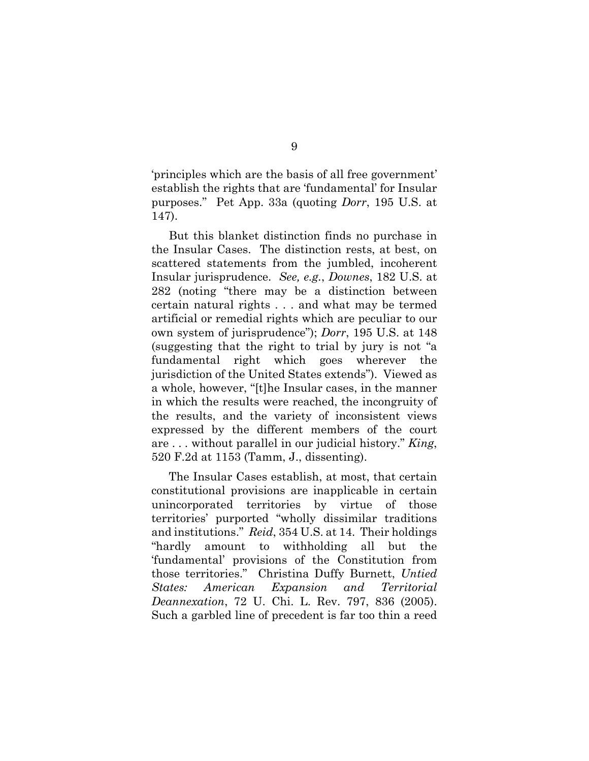'principles which are the basis of all free government' establish the rights that are 'fundamental' for Insular purposes." Pet App. 33a (quoting *Dorr*, 195 U.S. at 147).

But this blanket distinction finds no purchase in the Insular Cases. The distinction rests, at best, on scattered statements from the jumbled, incoherent Insular jurisprudence. *See, e.g.*, *Downes*, 182 U.S. at 282 (noting "there may be a distinction between certain natural rights . . . and what may be termed artificial or remedial rights which are peculiar to our own system of jurisprudence"); *Dorr*, 195 U.S. at 148 (suggesting that the right to trial by jury is not "a fundamental right which goes wherever the jurisdiction of the United States extends"). Viewed as a whole, however, "[t]he Insular cases, in the manner in which the results were reached, the incongruity of the results, and the variety of inconsistent views expressed by the different members of the court are . . . without parallel in our judicial history." *King*, 520 F.2d at 1153 (Tamm, J., dissenting).

The Insular Cases establish, at most, that certain constitutional provisions are inapplicable in certain unincorporated territories by virtue of those territories' purported "wholly dissimilar traditions and institutions." *Reid*, 354 U.S. at 14. Their holdings "hardly amount to withholding all but the 'fundamental' provisions of the Constitution from those territories." Christina Duffy Burnett, *Untied States: American Expansion and Territorial Deannexation*, 72 U. Chi. L. Rev. 797, 836 (2005). Such a garbled line of precedent is far too thin a reed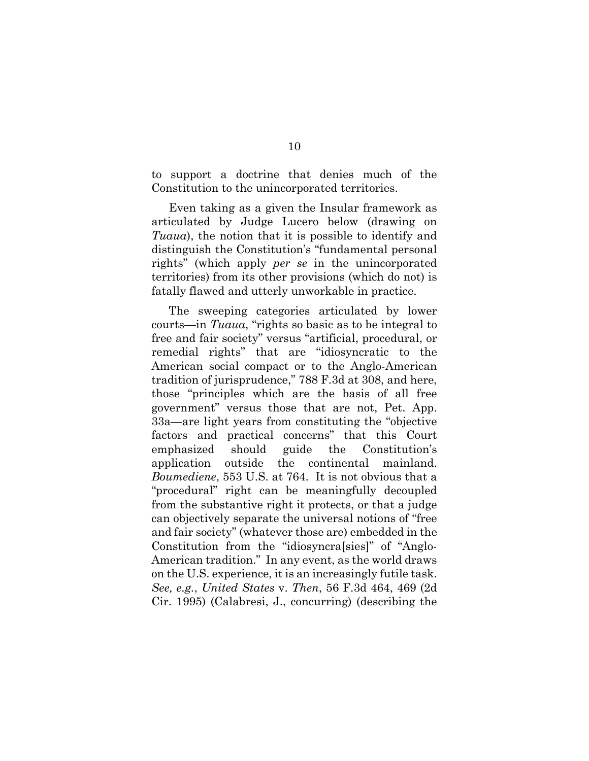to support a doctrine that denies much of the Constitution to the unincorporated territories.

Even taking as a given the Insular framework as articulated by Judge Lucero below (drawing on *Tuaua*), the notion that it is possible to identify and distinguish the Constitution's "fundamental personal rights" (which apply *per se* in the unincorporated territories) from its other provisions (which do not) is fatally flawed and utterly unworkable in practice.

The sweeping categories articulated by lower courts—in *Tuaua*, "rights so basic as to be integral to free and fair society" versus "artificial, procedural, or remedial rights" that are "idiosyncratic to the American social compact or to the Anglo-American tradition of jurisprudence," 788 F.3d at 308, and here, those "principles which are the basis of all free government" versus those that are not, Pet. App. 33a—are light years from constituting the "objective factors and practical concerns" that this Court emphasized should guide the Constitution's application outside the continental mainland. *Boumediene*, 553 U.S. at 764. It is not obvious that a "procedural" right can be meaningfully decoupled from the substantive right it protects, or that a judge can objectively separate the universal notions of "free and fair society" (whatever those are) embedded in the Constitution from the "idiosyncra[sies]" of "Anglo-American tradition." In any event, as the world draws on the U.S. experience, it is an increasingly futile task. *See, e.g.*, *United States* v. *Then*, 56 F.3d 464, 469 (2d Cir. 1995) (Calabresi, J., concurring) (describing the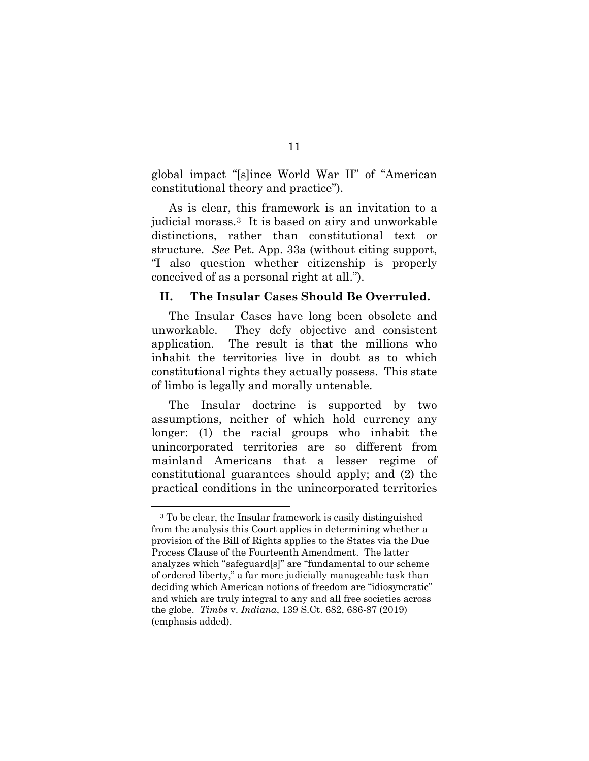global impact "[s]ince World War II" of "American constitutional theory and practice").

As is clear, this framework is an invitation to a judicial morass.[3](#page-15-1) It is based on airy and unworkable distinctions, rather than constitutional text or structure. *See* Pet. App. 33a (without citing support, "I also question whether citizenship is properly conceived of as a personal right at all.").

#### <span id="page-15-0"></span>**II. The Insular Cases Should Be Overruled.**

The Insular Cases have long been obsolete and unworkable. They defy objective and consistent application. The result is that the millions who inhabit the territories live in doubt as to which constitutional rights they actually possess. This state of limbo is legally and morally untenable.

The Insular doctrine is supported by two assumptions, neither of which hold currency any longer: (1) the racial groups who inhabit the unincorporated territories are so different from mainland Americans that a lesser regime of constitutional guarantees should apply; and (2) the practical conditions in the unincorporated territories

<span id="page-15-1"></span><sup>3</sup> To be clear, the Insular framework is easily distinguished from the analysis this Court applies in determining whether a provision of the Bill of Rights applies to the States via the Due Process Clause of the Fourteenth Amendment. The latter analyzes which "safeguard[s]" are "fundamental to our scheme of ordered liberty," a far more judicially manageable task than deciding which American notions of freedom are "idiosyncratic" and which are truly integral to any and all free societies across the globe. *Timbs* v. *Indiana*, 139 S.Ct. 682, 686-87 (2019) (emphasis added).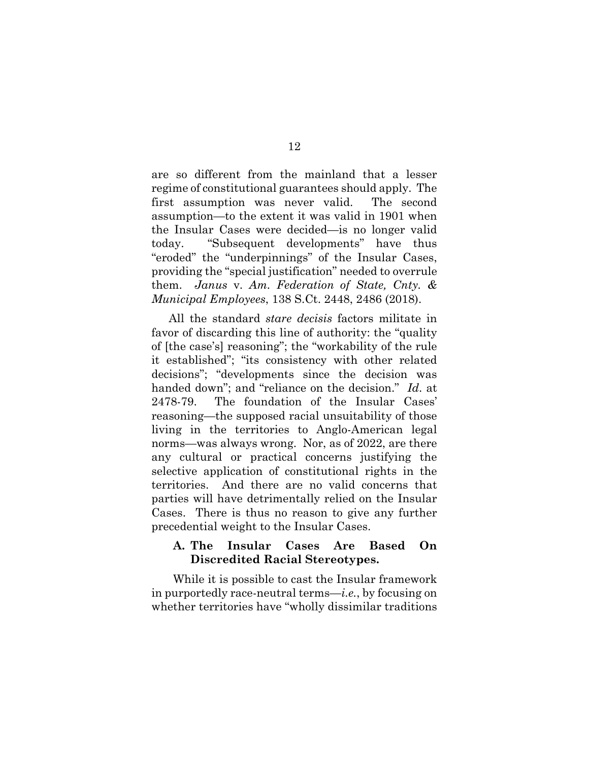are so different from the mainland that a lesser regime of constitutional guarantees should apply. The first assumption was never valid. The second assumption—to the extent it was valid in 1901 when the Insular Cases were decided—is no longer valid today. "Subsequent developments" have thus "eroded" the "underpinnings" of the Insular Cases, providing the "special justification" needed to overrule them. *Janus* v. *Am. Federation of State, Cnty. & Municipal Employees*, 138 S.Ct. 2448, 2486 (2018).

All the standard *stare decisis* factors militate in favor of discarding this line of authority: the "quality of [the case's] reasoning"; the "workability of the rule it established"; "its consistency with other related decisions"; "developments since the decision was handed down"; and "reliance on the decision." *Id*. at 2478-79. The foundation of the Insular Cases' reasoning—the supposed racial unsuitability of those living in the territories to Anglo-American legal norms—was always wrong. Nor, as of 2022, are there any cultural or practical concerns justifying the selective application of constitutional rights in the territories. And there are no valid concerns that parties will have detrimentally relied on the Insular Cases. There is thus no reason to give any further precedential weight to the Insular Cases.

## <span id="page-16-0"></span>**A. The Insular Cases Are Based On Discredited Racial Stereotypes.**

While it is possible to cast the Insular framework in purportedly race-neutral terms—*i.e.*, by focusing on whether territories have "wholly dissimilar traditions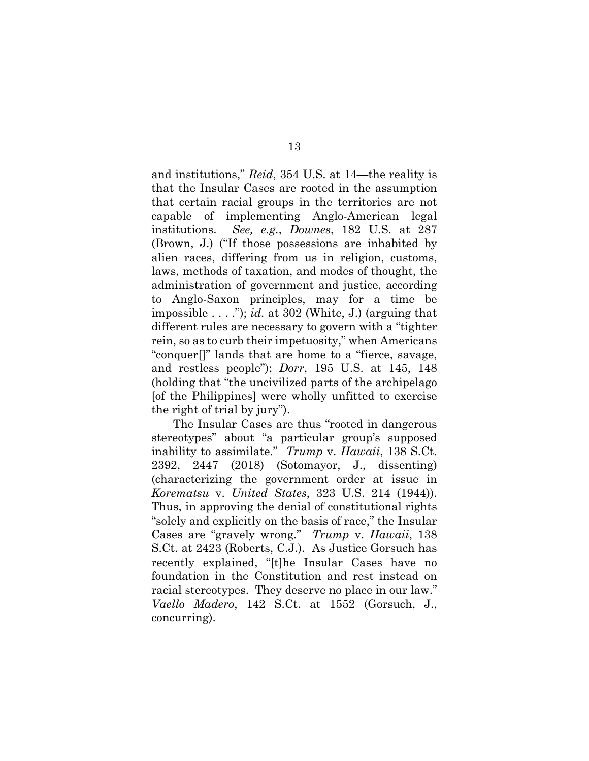and institutions," *Reid*, 354 U.S. at 14—the reality is that the Insular Cases are rooted in the assumption that certain racial groups in the territories are not capable of implementing Anglo-American legal institutions. *See, e.g.*, *Downes*, 182 U.S. at 287 (Brown, J.) ("If those possessions are inhabited by alien races, differing from us in religion, customs, laws, methods of taxation, and modes of thought, the administration of government and justice, according to Anglo-Saxon principles, may for a time be impossible . . . ."); *id.* at 302 (White, J.) (arguing that different rules are necessary to govern with a "tighter rein, so as to curb their impetuosity," when Americans "conquer[]" lands that are home to a "fierce, savage, and restless people"); *Dorr*, 195 U.S. at 145, 148 (holding that "the uncivilized parts of the archipelago [of the Philippines] were wholly unfitted to exercise the right of trial by jury").

The Insular Cases are thus "rooted in dangerous stereotypes" about "a particular group's supposed inability to assimilate." *Trump* v. *Hawaii*, 138 S.Ct. 2392, 2447 (2018) (Sotomayor, J., dissenting) (characterizing the government order at issue in *Korematsu* v. *United States*, 323 U.S. 214 (1944)). Thus, in approving the denial of constitutional rights "solely and explicitly on the basis of race," the Insular Cases are "gravely wrong." *Trump* v. *Hawaii*, 138 S.Ct. at 2423 (Roberts, C.J.). As Justice Gorsuch has recently explained, "[t]he Insular Cases have no foundation in the Constitution and rest instead on racial stereotypes. They deserve no place in our law." *Vaello Madero*, 142 S.Ct. at 1552 (Gorsuch, J., concurring).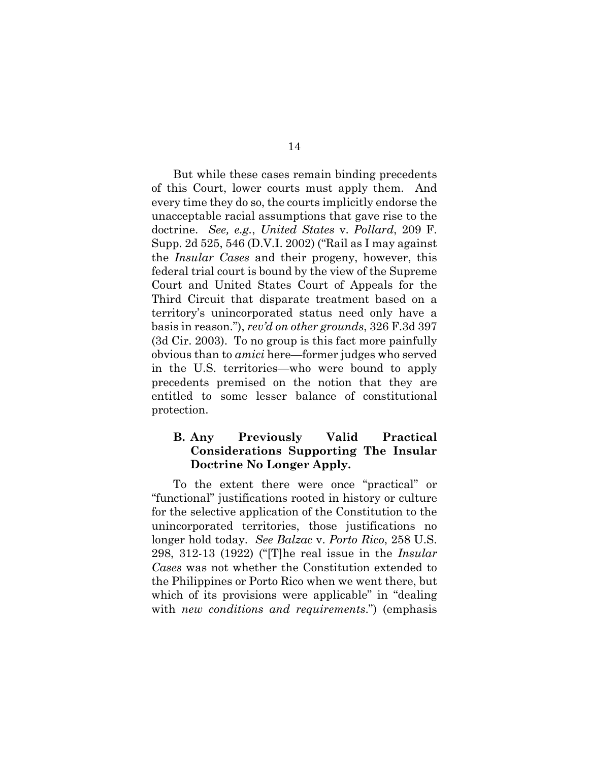But while these cases remain binding precedents of this Court, lower courts must apply them. And every time they do so, the courts implicitly endorse the unacceptable racial assumptions that gave rise to the doctrine. *See, e.g.*, *United States* v. *Pollard*, 209 F. Supp. 2d 525, 546 (D.V.I. 2002) ("Rail as I may against the *Insular Cases* and their progeny, however, this federal trial court is bound by the view of the Supreme Court and United States Court of Appeals for the Third Circuit that disparate treatment based on a territory's unincorporated status need only have a basis in reason."), *rev'd on other grounds*, 326 F.3d 397 (3d Cir. 2003). To no group is this fact more painfully obvious than to *amici* here—former judges who served in the U.S. territories—who were bound to apply precedents premised on the notion that they are entitled to some lesser balance of constitutional protection.

## <span id="page-18-0"></span>**B. Any Previously Valid Practical Considerations Supporting The Insular Doctrine No Longer Apply.**

To the extent there were once "practical" or "functional" justifications rooted in history or culture for the selective application of the Constitution to the unincorporated territories, those justifications no longer hold today. *See Balzac* v. *Porto Rico*, 258 U.S. 298, 312-13 (1922) ("[T]he real issue in the *Insular Cases* was not whether the Constitution extended to the Philippines or Porto Rico when we went there, but which of its provisions were applicable" in "dealing" with *new conditions and requirements*.") (emphasis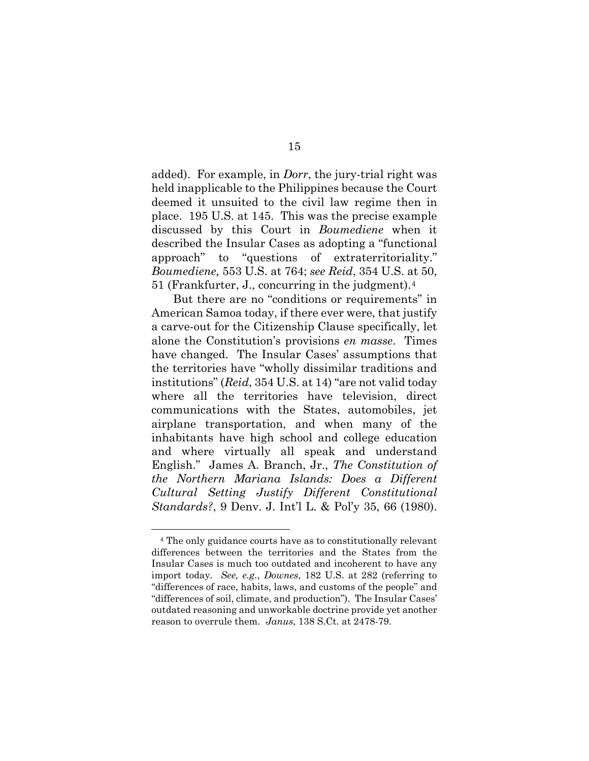added). For example, in *Dorr*, the jury-trial right was held inapplicable to the Philippines because the Court deemed it unsuited to the civil law regime then in place. 195 U.S. at 145. This was the precise example discussed by this Court in *Boumediene* when it described the Insular Cases as adopting a "functional approach" to "questions of extraterritoriality." *Boumediene,* 553 U.S. at 764; *see Reid*, 354 U.S. at 50, 51 (Frankfurter, J., concurring in the judgment).[4](#page-19-0)

But there are no "conditions or requirements" in American Samoa today, if there ever were, that justify a carve-out for the Citizenship Clause specifically, let alone the Constitution's provisions *en masse*. Times have changed. The Insular Cases' assumptions that the territories have "wholly dissimilar traditions and institutions" (*Reid*, 354 U.S. at 14) "are not valid today where all the territories have television, direct communications with the States, automobiles, jet airplane transportation, and when many of the inhabitants have high school and college education and where virtually all speak and understand English." James A. Branch, Jr., *The Constitution of the Northern Mariana Islands: Does a Different Cultural Setting Justify Different Constitutional Standards?*, 9 Denv. J. Int'l L. & Pol'y 35, 66 (1980).

<span id="page-19-0"></span><sup>4</sup> The only guidance courts have as to constitutionally relevant differences between the territories and the States from the Insular Cases is much too outdated and incoherent to have any import today. *See, e.g.*, *Downes*, 182 U.S. at 282 (referring to "differences of race, habits, laws, and customs of the people" and "differences of soil, climate, and production"). The Insular Cases' outdated reasoning and unworkable doctrine provide yet another reason to overrule them. *Janus*, 138 S.Ct. at 2478-79.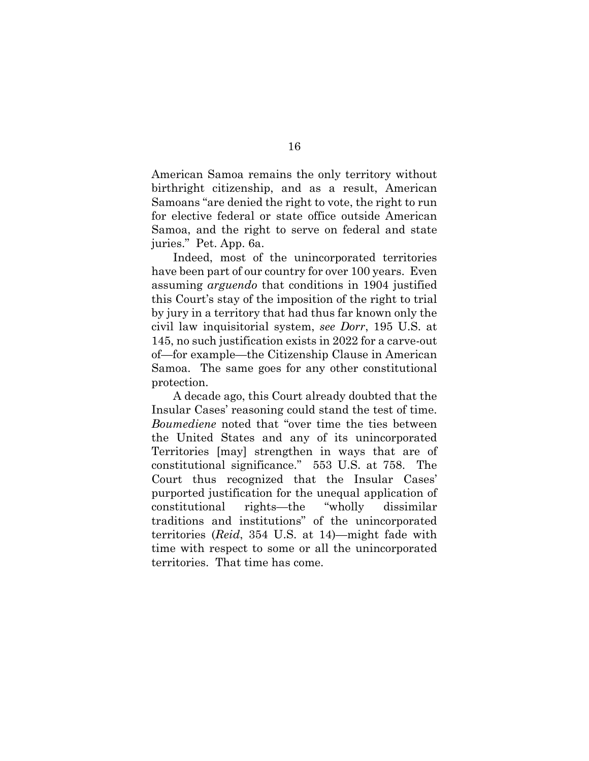American Samoa remains the only territory without birthright citizenship, and as a result, American Samoans "are denied the right to vote, the right to run for elective federal or state office outside American Samoa, and the right to serve on federal and state juries." Pet. App. 6a.

Indeed, most of the unincorporated territories have been part of our country for over 100 years. Even assuming *arguendo* that conditions in 1904 justified this Court's stay of the imposition of the right to trial by jury in a territory that had thus far known only the civil law inquisitorial system, *see Dorr*, 195 U.S. at 145, no such justification exists in 2022 for a carve-out of—for example—the Citizenship Clause in American Samoa. The same goes for any other constitutional protection.

A decade ago, this Court already doubted that the Insular Cases' reasoning could stand the test of time. *Boumediene* noted that "over time the ties between the United States and any of its unincorporated Territories [may] strengthen in ways that are of constitutional significance." 553 U.S. at 758. The Court thus recognized that the Insular Cases' purported justification for the unequal application of constitutional rights—the "wholly dissimilar traditions and institutions" of the unincorporated territories (*Reid*, 354 U.S. at 14)—might fade with time with respect to some or all the unincorporated territories. That time has come.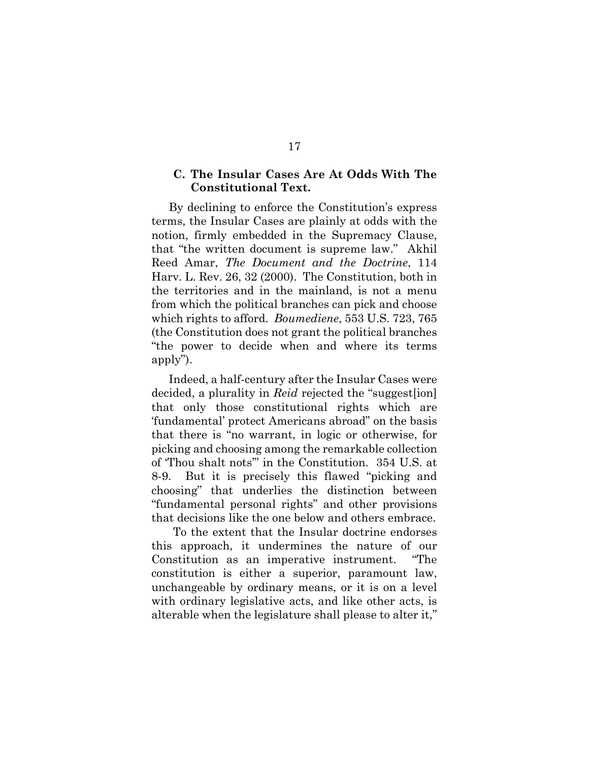## <span id="page-21-0"></span>**C. The Insular Cases Are At Odds With The Constitutional Text.**

By declining to enforce the Constitution's express terms, the Insular Cases are plainly at odds with the notion, firmly embedded in the Supremacy Clause, that "the written document is supreme law." Akhil Reed Amar, *The Document and the Doctrine*, 114 Harv. L. Rev. 26, 32 (2000). The Constitution, both in the territories and in the mainland, is not a menu from which the political branches can pick and choose which rights to afford. *Boumediene*, 553 U.S. 723, 765 (the Constitution does not grant the political branches "the power to decide when and where its terms apply").

Indeed, a half-century after the Insular Cases were decided, a plurality in *Reid* rejected the "suggest[ion] that only those constitutional rights which are 'fundamental' protect Americans abroad" on the basis that there is "no warrant, in logic or otherwise, for picking and choosing among the remarkable collection of 'Thou shalt nots'" in the Constitution. 354 U.S. at 8-9. But it is precisely this flawed "picking and choosing" that underlies the distinction between "fundamental personal rights" and other provisions that decisions like the one below and others embrace.

To the extent that the Insular doctrine endorses this approach, it undermines the nature of our Constitution as an imperative instrument. "The constitution is either a superior, paramount law, unchangeable by ordinary means, or it is on a level with ordinary legislative acts, and like other acts, is alterable when the legislature shall please to alter it,"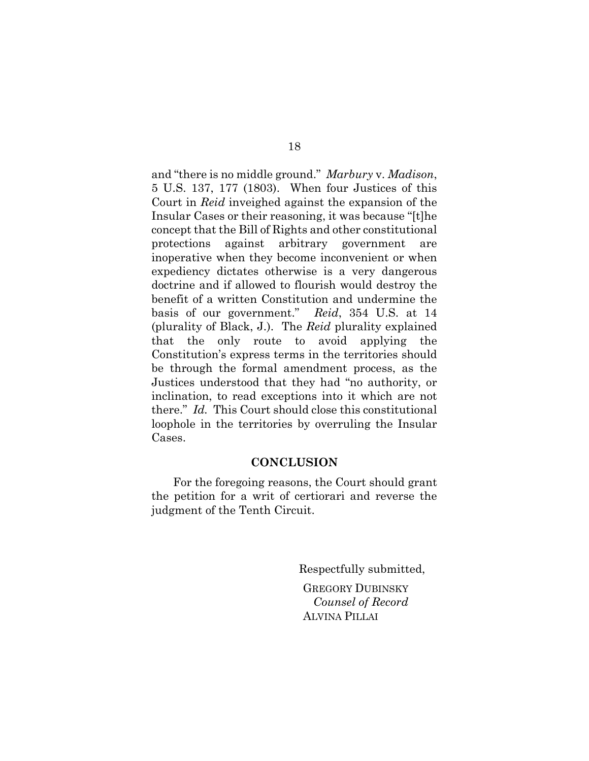and "there is no middle ground." *Marbury* v. *Madison*, 5 U.S. 137, 177 (1803). When four Justices of this Court in *Reid* inveighed against the expansion of the Insular Cases or their reasoning, it was because "[t]he concept that the Bill of Rights and other constitutional protections against arbitrary government are inoperative when they become inconvenient or when expediency dictates otherwise is a very dangerous doctrine and if allowed to flourish would destroy the benefit of a written Constitution and undermine the basis of our government." *Reid*, 354 U.S. at 14 (plurality of Black, J.). The *Reid* plurality explained that the only route to avoid applying the Constitution's express terms in the territories should be through the formal amendment process, as the Justices understood that they had "no authority, or inclination, to read exceptions into it which are not there." *Id.* This Court should close this constitutional loophole in the territories by overruling the Insular Cases.

#### **CONCLUSION**

<span id="page-22-0"></span>For the foregoing reasons, the Court should grant the petition for a writ of certiorari and reverse the judgment of the Tenth Circuit.

Respectfully submitted,

GREGORY DUBINSKY *Counsel of Record* ALVINA PILLAI